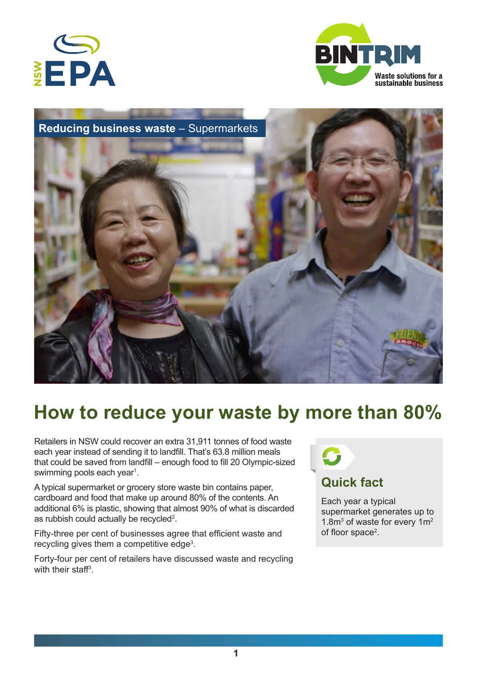





# **How to reduce your waste by more than 80%**

Retailers in NSW could recover an extra 31,911 tonnes of food waste each year instead of sending it to landfill. That's 63.8 million meals that could be saved from landfill – enough food to fill 20 Olympic-sized swimming pools each year<sup>1</sup>.

A typical supermarket or grocery store waste bin contains paper, cardboard and food that make up around 80% of the contents. An additional 6% is plastic, showing that almost 90% of what is discarded as rubbish could actually be recycled<sup>2</sup>.

Fifty-three per cent of businesses agree that efficient waste and recycling gives them a competitive edge<sup>3</sup>.

Forty-four per cent of retailers have discussed waste and recycling with their staff<sup>3</sup>.



Each year a typical supermarket generates up to 1.8 $m<sup>3</sup>$  of waste for every 1 $m<sup>2</sup>$ of floor space<sup>2</sup>.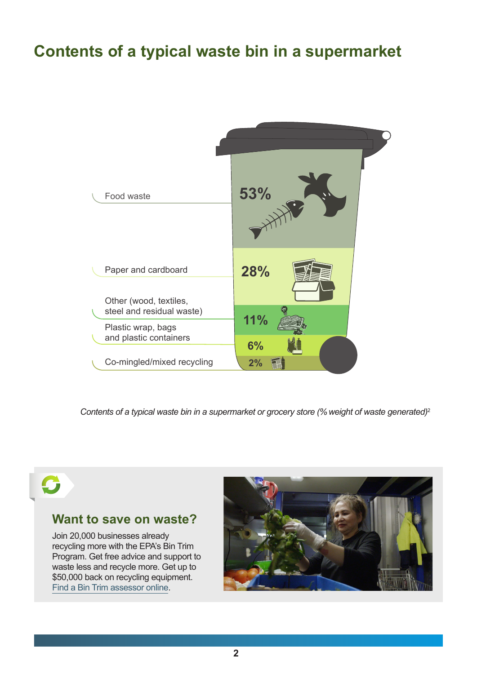# **Contents of a typical waste bin in a supermarket**



*Contents of a typical waste bin in a supermarket or grocery store (% weight of waste generated)*<sup>2</sup>

### **Want to save on waste?**

Join 20,000 businesses already recycling more with the EPA's Bin Trim Program. Get free advice and support to waste less and recycle more. Get up to \$50,000 back on recycling equipment. [Find a Bin Trim assessor online](http://epa.nsw.gov.au/managewaste/bin-trim.htm).

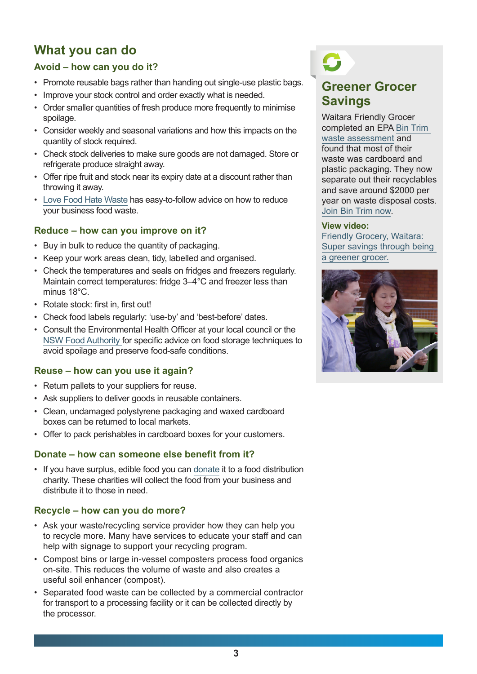# **What you can do**

### **Avoid – how can you do it?**

- Promote reusable bags rather than handing out single-use plastic bags.
- Improve your stock control and order exactly what is needed.
- Order smaller quantities of fresh produce more frequently to minimise spoilage.
- Consider weekly and seasonal variations and how this impacts on the quantity of stock required.
- Check stock deliveries to make sure goods are not damaged. Store or refrigerate produce straight away.
- Offer ripe fruit and stock near its expiry date at a discount rather than throwing it away.
- [Love Food Hate Waste](http://www.lovefoodhatewaste.nsw.gov.au/food-businesses/reducing-waste-from-food-businesses.aspx) has easy-to-follow advice on how to reduce your business food waste.

### **Reduce – how can you improve on it?**

- Buy in bulk to reduce the quantity of packaging.
- Keep your work areas clean, tidy, labelled and organised.
- Check the temperatures and seals on fridges and freezers regularly. Maintain correct temperatures: fridge 3–4°C and freezer less than minus 18°C.
- Rotate stock: first in, first out!
- Check food labels regularly: 'use-by' and 'best-before' dates.
- Consult the Environmental Health Officer at your local council or the [NSW Food Authority](http://www.foodauthority.nsw.gov.au/) for specific advice on food storage techniques to avoid spoilage and preserve food-safe conditions.

### **Reuse – how can you use it again?**

- Return pallets to your suppliers for reuse.
- Ask suppliers to deliver goods in reusable containers.
- Clean, undamaged polystyrene packaging and waxed cardboard boxes can be returned to local markets.
- Offer to pack perishables in cardboard boxes for your customers.

### **Donate – how can someone else benefit from it?**

• If you have surplus, edible food you can [donate](http://www.lovefoodhatewaste.nsw.gov.au/food-businesses/donate-food-to-charity.aspx) it to a food distribution charity. These charities will collect the food from your business and distribute it to those in need.

### **Recycle – how can you do more?**

- Ask your waste/recycling service provider how they can help you to recycle more. Many have services to educate your staff and can help with signage to support your recycling program.
- Compost bins or large in-vessel composters process food organics on-site. This reduces the volume of waste and also creates a useful soil enhancer (compost).
- Separated food waste can be collected by a commercial contractor for transport to a processing facility or it can be collected directly by the processor.

# **Greener Grocer Savings**

Waitara Friendly Grocer completed an EPA [Bin Trim](http://www.epa.nsw.gov.au/managewaste/bin-trim.htm)  [waste assessment](http://www.epa.nsw.gov.au/managewaste/bin-trim.htm) and found that most of their waste was cardboard and plastic packaging. They now separate out their recyclables and save around \$2000 per year on waste disposal costs. [Join Bin Trim now.](http://www.epa.nsw.gov.au/managewaste/bin-trim.htm)

### **View video:**

[Friendly Grocery, Waitara:](http://www.youtube.com/watch?v=IpnQBW82EbA)  [Super savings through being](http://www.youtube.com/watch?v=IpnQBW82EbA)  [a greener grocer.](http://www.youtube.com/watch?v=IpnQBW82EbA)